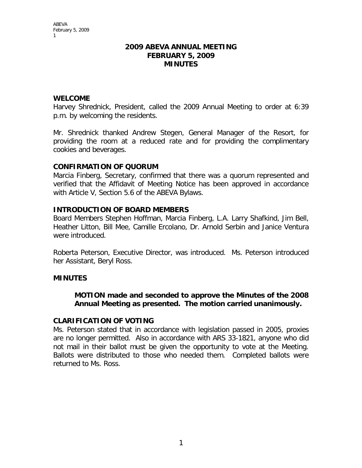#### **2009 ABEVA ANNUAL MEETING FEBRUARY 5, 2009 MINUTES**

#### **WELCOME**

Harvey Shrednick, President, called the 2009 Annual Meeting to order at 6:39 p.m. by welcoming the residents.

Mr. Shrednick thanked Andrew Stegen, General Manager of the Resort, for providing the room at a reduced rate and for providing the complimentary cookies and beverages.

#### **CONFIRMATION OF QUORUM**

Marcia Finberg, Secretary, confirmed that there was a quorum represented and verified that the Affidavit of Meeting Notice has been approved in accordance with Article V, Section 5.6 of the ABEVA Bylaws.

#### **INTRODUCTION OF BOARD MEMBERS**

Board Members Stephen Hoffman, Marcia Finberg, L.A. Larry Shafkind, Jim Bell, Heather Litton, Bill Mee, Camille Ercolano, Dr. Arnold Serbin and Janice Ventura were introduced.

Roberta Peterson, Executive Director, was introduced. Ms. Peterson introduced her Assistant, Beryl Ross.

### **MINUTES**

**MOTION made and seconded to approve the Minutes of the 2008 Annual Meeting as presented. The motion carried unanimously.** 

#### **CLARIFICATION OF VOTING**

Ms. Peterson stated that in accordance with legislation passed in 2005, proxies are no longer permitted. Also in accordance with ARS 33-1821, anyone who did not mail in their ballot must be given the opportunity to vote at the Meeting. Ballots were distributed to those who needed them. Completed ballots were returned to Ms. Ross.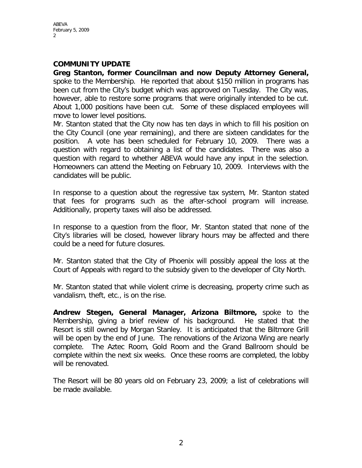ABEVA February 5, 2009 2

#### **COMMUNITY UPDATE**

**Greg Stanton, former Councilman and now Deputy Attorney General,**  spoke to the Membership. He reported that about \$150 million in programs has been cut from the City's budget which was approved on Tuesday. The City was, however, able to restore some programs that were originally intended to be cut. About 1,000 positions have been cut. Some of these displaced employees will move to lower level positions.

Mr. Stanton stated that the City now has ten days in which to fill his position on the City Council (one year remaining), and there are sixteen candidates for the position. A vote has been scheduled for February 10, 2009. There was a question with regard to obtaining a list of the candidates. There was also a question with regard to whether ABEVA would have any input in the selection. Homeowners can attend the Meeting on February 10, 2009. Interviews with the candidates will be public.

In response to a question about the regressive tax system, Mr. Stanton stated that fees for programs such as the after-school program will increase. Additionally, property taxes will also be addressed.

In response to a question from the floor, Mr. Stanton stated that none of the City's libraries will be closed, however library hours may be affected and there could be a need for future closures.

Mr. Stanton stated that the City of Phoenix will possibly appeal the loss at the Court of Appeals with regard to the subsidy given to the developer of City North.

Mr. Stanton stated that while violent crime is decreasing, property crime such as vandalism, theft, etc., is on the rise.

**Andrew Stegen, General Manager, Arizona Biltmore,** spoke to the Membership, giving a brief review of his background. He stated that the Resort is still owned by Morgan Stanley. It is anticipated that the Biltmore Grill will be open by the end of June. The renovations of the Arizona Wing are nearly complete. The Aztec Room, Gold Room and the Grand Ballroom should be complete within the next six weeks. Once these rooms are completed, the lobby will be renovated.

The Resort will be 80 years old on February 23, 2009; a list of celebrations will be made available.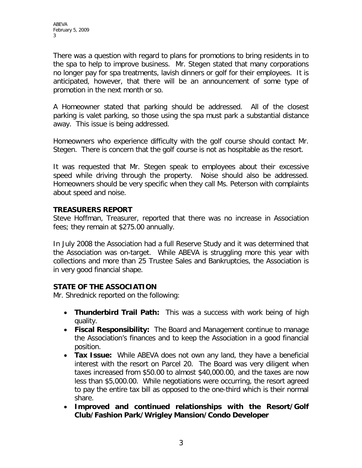There was a question with regard to plans for promotions to bring residents in to the spa to help to improve business. Mr. Stegen stated that many corporations no longer pay for spa treatments, lavish dinners or golf for their employees. It is anticipated, however, that there will be an announcement of some type of promotion in the next month or so.

A Homeowner stated that parking should be addressed. All of the closest parking is valet parking, so those using the spa must park a substantial distance away. This issue is being addressed.

Homeowners who experience difficulty with the golf course should contact Mr. Stegen. There is concern that the golf course is not as hospitable as the resort.

It was requested that Mr. Stegen speak to employees about their excessive speed while driving through the property. Noise should also be addressed. Homeowners should be very specific when they call Ms. Peterson with complaints about speed and noise.

## **TREASURERS REPORT**

Steve Hoffman, Treasurer, reported that there was no increase in Association fees; they remain at \$275.00 annually.

In July 2008 the Association had a full Reserve Study and it was determined that the Association was on-target. While ABEVA is struggling more this year with collections and more than 25 Trustee Sales and Bankruptcies, the Association is in very good financial shape.

# **STATE OF THE ASSOCIATION**

Mr. Shrednick reported on the following:

- **Thunderbird Trail Path:** This was a success with work being of high quality.
- **Fiscal Responsibility:** The Board and Management continue to manage the Association's finances and to keep the Association in a good financial position.
- **Tax Issue:** While ABEVA does not own any land, they have a beneficial interest with the resort on Parcel 20. The Board was very diligent when taxes increased from \$50.00 to almost \$40,000.00, and the taxes are now less than \$5,000.00. While negotiations were occurring, the resort agreed to pay the entire tax bill as opposed to the one-third which is their normal share.
- **Improved and continued relationships with the Resort/Golf Club/Fashion Park/Wrigley Mansion/Condo Developer**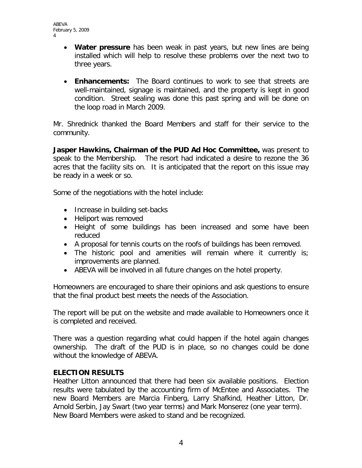```
ABEVA
February 5, 2009
4
```
- **Water pressure** has been weak in past years, but new lines are being installed which will help to resolve these problems over the next two to three years.
- **Enhancements:** The Board continues to work to see that streets are well-maintained, signage is maintained, and the property is kept in good condition. Street sealing was done this past spring and will be done on the loop road in March 2009.

Mr. Shrednick thanked the Board Members and staff for their service to the community.

**Jasper Hawkins, Chairman of the PUD Ad Hoc Committee,** was present to speak to the Membership. The resort had indicated a desire to rezone the 36 acres that the facility sits on. It is anticipated that the report on this issue may be ready in a week or so.

Some of the negotiations with the hotel include:

- Increase in building set-backs
- Heliport was removed
- Height of some buildings has been increased and some have been reduced
- A proposal for tennis courts on the roofs of buildings has been removed.
- The historic pool and amenities will remain where it currently is; improvements are planned.
- ABEVA will be involved in all future changes on the hotel property.

Homeowners are encouraged to share their opinions and ask questions to ensure that the final product best meets the needs of the Association.

The report will be put on the website and made available to Homeowners once it is completed and received.

There was a question regarding what could happen if the hotel again changes ownership. The draft of the PUD is in place, so no changes could be done without the knowledge of ABEVA.

## **ELECTION RESULTS**

Heather Litton announced that there had been six available positions. Election results were tabulated by the accounting firm of McEntee and Associates. The new Board Members are Marcia Finberg, Larry Shafkind, Heather Litton, Dr. Arnold Serbin, Jay Swart (two year terms) and Mark Monserez (one year term). New Board Members were asked to stand and be recognized.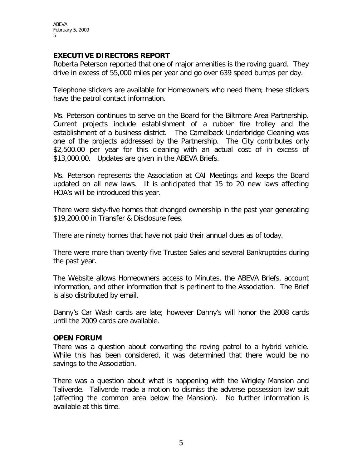## **EXECUTIVE DIRECTORS REPORT**

Roberta Peterson reported that one of major amenities is the roving guard. They drive in excess of 55,000 miles per year and go over 639 speed bumps per day.

Telephone stickers are available for Homeowners who need them; these stickers have the patrol contact information.

Ms. Peterson continues to serve on the Board for the Biltmore Area Partnership. Current projects include establishment of a rubber tire trolley and the establishment of a business district. The Camelback Underbridge Cleaning was one of the projects addressed by the Partnership. The City contributes only \$2,500.00 per year for this cleaning with an actual cost of in excess of \$13,000.00. Updates are given in the ABEVA Briefs.

Ms. Peterson represents the Association at CAI Meetings and keeps the Board updated on all new laws. It is anticipated that 15 to 20 new laws affecting HOA's will be introduced this year.

There were sixty-five homes that changed ownership in the past year generating \$19,200.00 in Transfer & Disclosure fees.

There are ninety homes that have not paid their annual dues as of today.

There were more than twenty-five Trustee Sales and several Bankruptcies during the past year.

The Website allows Homeowners access to Minutes, the ABEVA Briefs, account information, and other information that is pertinent to the Association. The Brief is also distributed by email.

Danny's Car Wash cards are late; however Danny's will honor the 2008 cards until the 2009 cards are available.

#### **OPEN FORUM**

There was a question about converting the roving patrol to a hybrid vehicle. While this has been considered, it was determined that there would be no savings to the Association.

There was a question about what is happening with the Wrigley Mansion and Taliverde. Taliverde made a motion to dismiss the adverse possession law suit (affecting the common area below the Mansion). No further information is available at this time.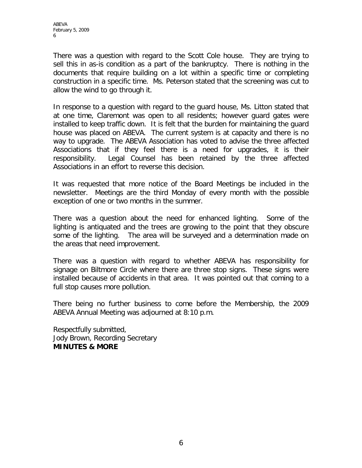There was a question with regard to the Scott Cole house. They are trying to sell this in as-is condition as a part of the bankruptcy. There is nothing in the documents that require building on a lot within a specific time or completing construction in a specific time. Ms. Peterson stated that the screening was cut to allow the wind to go through it.

In response to a question with regard to the guard house, Ms. Litton stated that at one time, Claremont was open to all residents; however guard gates were installed to keep traffic down. It is felt that the burden for maintaining the guard house was placed on ABEVA. The current system is at capacity and there is no way to upgrade. The ABEVA Association has voted to advise the three affected Associations that if they feel there is a need for upgrades, it is their responsibility. Legal Counsel has been retained by the three affected Associations in an effort to reverse this decision.

It was requested that more notice of the Board Meetings be included in the newsletter. Meetings are the third Monday of every month with the possible exception of one or two months in the summer.

There was a question about the need for enhanced lighting. Some of the lighting is antiquated and the trees are growing to the point that they obscure some of the lighting. The area will be surveyed and a determination made on the areas that need improvement.

There was a question with regard to whether ABEVA has responsibility for signage on Biltmore Circle where there are three stop signs. These signs were installed because of accidents in that area. It was pointed out that coming to a full stop causes more pollution.

There being no further business to come before the Membership, the 2009 ABEVA Annual Meeting was adjourned at 8:10 p.m.

Respectfully submitted, Jody Brown, Recording Secretary **MINUTES & MORE**